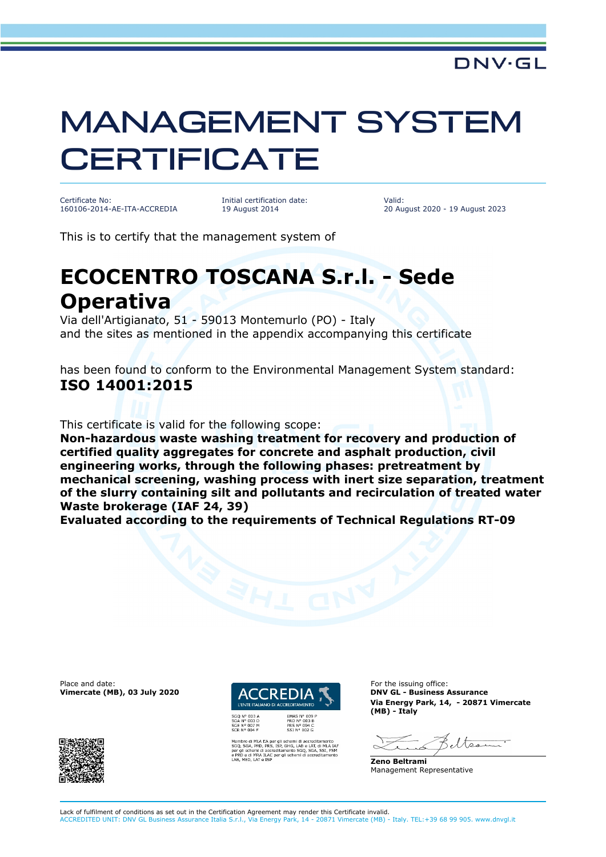## MANAGEMENT SYSTEM **CERTIFICATE**

Certificate No: 160106-2014-AE-ITA-ACCREDIA Initial certification date: 19 August 2014

Valid: 20 August 2020 - 19 August 2023

This is to certify that the management system of

## **ECOCENTRO TOSCANA S.r.l. - Sede Operativa**

Via dell'Artigianato, 51 - 59013 Montemurlo (PO) - Italy and the sites as mentioned in the appendix accompanying this certificate

has been found to conform to the Environmental Management System standard: **ISO 14001:2015**

This certificate is valid for the following scope:

**Non-hazardous waste washing treatment for recovery and production of certified quality aggregates for concrete and asphalt production, civil engineering works, through the following phases: pretreatment by mechanical screening, washing process with inert size separation, treatment of the slurry containing silt and pollutants and recirculation of treated water Waste brokerage (IAF 24, 39)**

**Evaluated according to the requirements of Technical Regulations RT-09**

Place and date: **For the issuing office:** For the issuing office: **Vimercate (MB), 03 July 2020 DACCREDIA DNV GL - Business Assurance** 





er gli schemi di accreditamento<br>, ISP, GHG, LAB e LAT, di MLA IAI<br>reditamento SGQ, SGA, SSI, FSM<br>per gli schemi di accreditamento

**Via Energy Park, 14, - 20871 Vimercate (MB) - Italy**

eltsen

**Zeno Beltrami** Management Representative